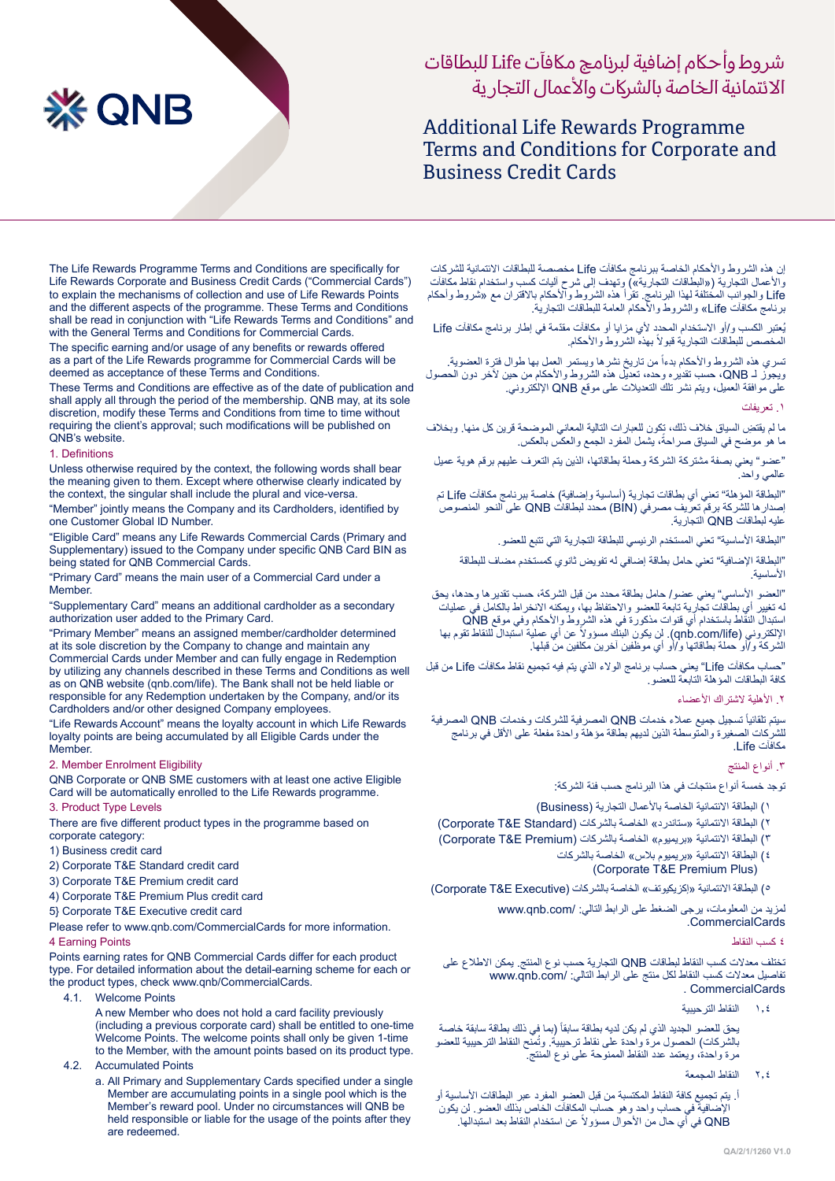# **XX QNB**

# شر وط وأحاكم إضافية لبرنامج ماكفآت Life للبطاقات الائتمانية الخاصة بالشركات والأعمال التجار ية

# **Additional Life Rewards Programme** Terms and Conditions for Corporate and **Business Credit Cards**

The Life Rewards Programme Terms and Conditions are specifically for Life Rewards Corporate and Business Credit Cards ("Commercial Cards") to explain the mechanisms of collection and use of Life Rewards Points and the different aspects of the programme. These Terms and Conditions shall be read in conjunction with "Life Rewards Terms and Conditions" and with the General Terms and Conditions for Commercial Cards.

The specific earning and/or usage of any benefits or rewards offered as a part of the Life Rewards programme for Commercial Cards will be deemed as acceptance of these Terms and Conditions.

These Terms and Conditions are effective as of the date of publication and shall apply all through the period of the membership. QNB may, at its sole discretion, modify these Terms and Conditions from time to time without requiring the client's approval; such modifications will be published on QNB's website.

# 1. Definitions

Unless otherwise required by the context, the following words shall bear the meaning given to them. Except where otherwise clearly indicated by the context, the singular shall include the plural and vice-versa.

"Member" jointly means the Company and its Cardholders, identified by one Customer Global ID Number.

"Eligible Card" means any Life Rewards Commercial Cards (Primary and Supplementary) issued to the Company under specific QNB Card BIN as being stated for QNB Commercial Cards.

"Primary Card" means the main user of a Commercial Card under a Member.

"Supplementary Card" means an additional cardholder as a secondary authorization user added to the Primary Card.

"Primary Member" means an assigned member/cardholder determined at its sole discretion by the Company to change and maintain any Commercial Cards under Member and can fully engage in Redemption by utilizing any channels described in these Terms and Conditions as well as on QNB website (qnb.com/life). The Bank shall not be held liable or responsible for any Redemption undertaken by the Company, and/or its Cardholders and/or other designed Company employees.

"Life Rewards Account" means the loyalty account in which Life Rewards loyalty points are being accumulated by all Eligible Cards under the .Member

### 2. Member Enrolment Eligibility

QNB Corporate or QNB SME customers with at least one active Eligible Card will be automatically enrolled to the Life Rewards programme.

# 3. Product Type Levels

There are five different product types in the programme based on corporate category:

- 1) Business credit card
- 2) Corporate T&E Standard credit card
- 3) Corporate T&E Premium credit card
- 4) Corporate T&E Premium Plus credit card
- 5} Corporate T&E Executive credit card

Please refer to www.qnb.com/CommercialCards for more information. 4 Earning Points

Points earning rates for QNB Commercial Cards differ for each product type. For detailed information about the detail-earning scheme for each or the product types, check www.qnb/CommercialCards.

4.1. Welcome Points

A new Member who does not hold a card facility previously (including a previous corporate card) shall be entitled to one-time Welcome Points. The welcome points shall only be given 1-time to the Member, with the amount points based on its product type.

- 4.2. Accumulated Points
	- a. All Primary and Supplementary Cards specified under a single Member are accumulating points in a single pool which is the Member's reward pool. Under no circumstances will QNB be held responsible or liable for the usage of the points after they are redeemed

إن هذه الشروط واألحكام الخاصة ببرنامج مكافآت Life مخصصة للبطاقات االئتمانية للشركات والأعمال التجارية («البطاقات التجارية») وتهدف إلى شرح اليات كسب واستخدام نقاط مكافات Life والجوانب المختلفة لهذا البرنامج. تقرأ هذه الشروط واألحكام باالقتران مع »شروط وأحكام برنامج مكافآت Life »والشروط واألحكام العامة للبطاقات التجارية.

ُي ّ عتبر الكسب و/أو االستخدام المحدد ألي مزايا أو مكافآت مقدمة في إطار برنامج مكافآت Life المخصص للبطاقات التجارية قبولاً بهذه الشروط والأحكام.

نسري هذه الشروط والأحكام بدءاً من تاريخ نشرها ويستمر العمل بها طوال فترة العضوية. ويجوز لـ QNB، حسب تقديره وحده، تعديل هذه الشروط والأحكام من حين لاخر دون الحصول على موافقة العميل، ويتم نشر تلك التعديالت على موقع QNB اإللكتروني.

### .1 تعريفات

ِ ما لم يقتض السياق خالف ذلك، تكون للعبارات التالية المعاني الموضحة قرين كل منها. وبخالف ما هو موضح في السياق صر احةً، يشمل المفرد الجمع والعكس بالعكس.

"عضو" يعني بصفة مشتركة الشركة وحملة بطاقاتها، الذين يتم التعرف عليهم برقم هوية عميل عالمي واحد.

"البطاقة المؤهلة" تعني أي بطاقات تجارية )أساسية وإضافية( خاصة ببرنامج مكافآت Life تم إصدارها للشركة برقم تعريف مصرفي )BIN )محدد لبطاقات QNB على النحو المنصوص عليه لبطاقات QNB التجارية.

"البطاقة الأساسية" تعني المستخدم الرئيسي للبطاقة التجارية التي تتبع للعضو.

"البطاقة اإلضافية" تعني حامل بطاقة إضافي له تفويض ثانوي كمستخدم مضاف للبطاقة األساسية.

"العضو األساسي" يعني عضو/ حامل بطاقة محدد من قبل الشركة، حسب تقديرها وحدها، يحق له تغيير أي بطاقات تجارية تابعة للعضو واالحتفاظ بها، ويمكنه االنخراط بالكامل في عمليات استبدال النقاط باستخدام أي قنوات مذكورة في هذه الشروط والأحكام وفي موقع QNB<br>الإلكتروني (qnb.com/life). لن يكون البنك مسؤولاً عن أي عملية استبدال للنقاط تقوم بها الشركة و/أو حملة بطاقاتها و/أو أي موظفين آخرين مكلفين من قبلها.

"حساب مكافآت Life "يعني حساب برنامج الوالء الذي يتم فيه تجميع نقاط مكافآت Life من قبل كافة البطاقات المؤهلة التابعة للعضو.

# .2 األهلية الشتراك األعضاء

ً تسجيل جميع عمالء خدمات QNB المصرفية للشركات وخدمات QNB المصرفية سيتم تلقائيا للشركات الصغيرة والمتوسطة الذين لديهم بطاقة مؤهلة واحدة مفعلة على األقل في برنامج مكافآت Life.

# .3 أنواع المنتج

توجد خمسة أنواع منتجات في هذا البرنامج حسب فئة الشركة:

- 1( البطاقة االئتمانية الخاصة باألعمال التجارية )Business )
- ٢) البطاقة الائتمانية «ستاندرد» الخاصة بالشركات (Corporate T&E Standard)
- ٣) البطاقة الائتمانية «بريميو م» الخاصة بالشر كات (Corporate T&E Premium)
	- ٤) البطاقة الائتمانية «بريميوم بلاس» الخاصة بالشركات (Corporate T&E Premium Plus)

ه) البطاقة الائتمانية «إكزيكيوتف» الخاصة بالشركات (Corporate T&E Executive)

لمزيد من المعلومات، يرجى الضغط على الرابط التالي: /com.qnb.www CommercialCards.

٤ كسب النقاط

تختلف معدالت كسب النقاط لبطاقات QNB التجارية حسب نوع المنتج. يمكن االطالع على تفاصيل معدلات كسب النقاط لكل منتج على الرابط التالي: /www.qnb.com CommercialCards .

1.4 النقاط الترحيبية

بحق للعضو الجديد الذي لم يكن لديه بطاقة سابقاً (بما في ذلك بطاقة سابقة خاصة بالشركات) الحصول مرة واحدة على نقاط ترحيبية. وتُمّنح النقاط الترحيبية للعضو مرة واحدة، ويعتمد عدد النقاط الممنوحة على نوع المنتج.

- 2.4 النقاط المجمعة
- أ. يتم تجميع كافة النقاط المكتسبة من قبل العضو المفرد عبر البطاقات األساسية أو اإلضافية في حساب واحد وهو حساب المكافآت الخاص بذلك العضو. لن يكون ً عن استخدام النقاط بعد استبدالها. QNB في أي حال من األحوال مسؤوال